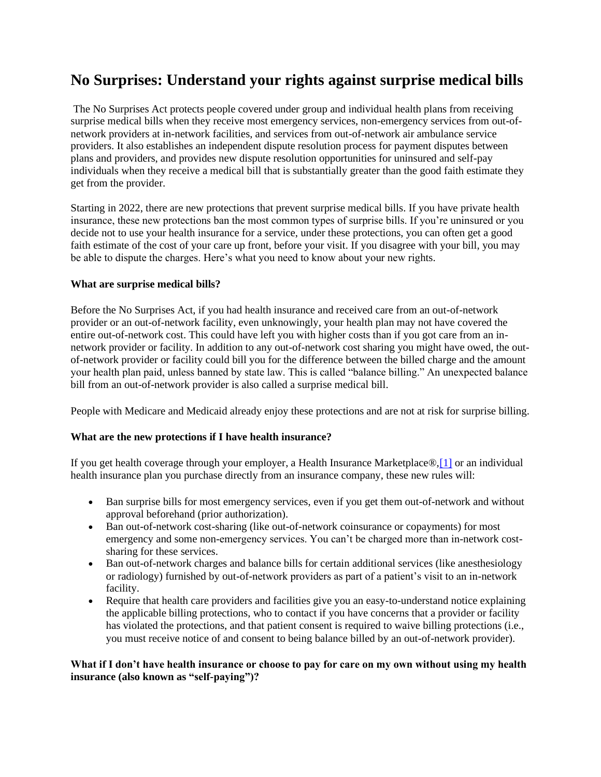# **No Surprises: Understand your rights against surprise medical bills**

The No Surprises Act protects people covered under group and individual health plans from receiving surprise medical bills when they receive most emergency services, non-emergency services from out-ofnetwork providers at in-network facilities, and services from out-of-network air ambulance service providers. It also establishes an independent dispute resolution process for payment disputes between plans and providers, and provides new dispute resolution opportunities for uninsured and self-pay individuals when they receive a medical bill that is substantially greater than the good faith estimate they get from the provider.

Starting in 2022, there are new protections that prevent surprise medical bills. If you have private health insurance, these new protections ban the most common types of surprise bills. If you're uninsured or you decide not to use your health insurance for a service, under these protections, you can often get a good faith estimate of the cost of your care up front, before your visit. If you disagree with your bill, you may be able to dispute the charges. Here's what you need to know about your new rights.

## **What are surprise medical bills?**

Before the No Surprises Act, if you had health insurance and received care from an out-of-network provider or an out-of-network facility, even unknowingly, your health plan may not have covered the entire out-of-network cost. This could have left you with higher costs than if you got care from an innetwork provider or facility. In addition to any out-of-network cost sharing you might have owed, the outof-network provider or facility could bill you for the difference between the billed charge and the amount your health plan paid, unless banned by state law. This is called "balance billing." An unexpected balance bill from an out-of-network provider is also called a surprise medical bill.

People with Medicare and Medicaid already enjoy these protections and are not at risk for surprise billing.

# **What are the new protections if I have health insurance?**

If you get health coverage through your employer, a Health Insurance Marketplace®[,\[1\]](https://www.cms.gov/newsroom/fact-sheets/no-surprises-understand-your-rights-against-surprise-medical-bills#_ftn1) or an individual health insurance plan you purchase directly from an insurance company, these new rules will:

- Ban surprise bills for most emergency services, even if you get them out-of-network and without approval beforehand (prior authorization).
- Ban out-of-network cost-sharing (like out-of-network coinsurance or copayments) for most emergency and some non-emergency services. You can't be charged more than in-network costsharing for these services.
- Ban out-of-network charges and balance bills for certain additional services (like anesthesiology or radiology) furnished by out-of-network providers as part of a patient's visit to an in-network facility.
- Require that health care providers and facilities give you an easy-to-understand notice explaining the applicable billing protections, who to contact if you have concerns that a provider or facility has violated the protections, and that patient consent is required to waive billing protections (i.e., you must receive notice of and consent to being balance billed by an out-of-network provider).

## **What if I don't have health insurance or choose to pay for care on my own without using my health insurance (also known as "self-paying")?**